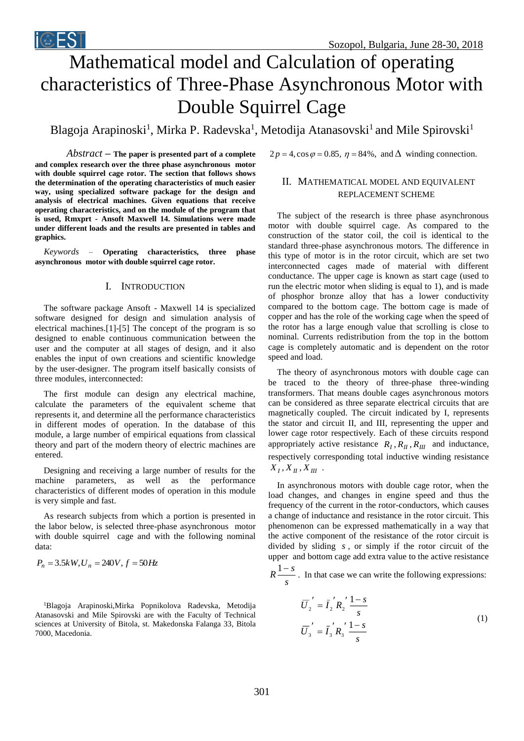# Mathematical model and Calculation of operating characteristics of Three-Phase Asynchronous Motor with Double Squirrel Cage

Blagoja Arapinoski<sup>1</sup>, Mirka P. Radevska<sup>1</sup>, Metodija Atanasovski<sup>1</sup> and Mile Spirovski<sup>1</sup>

*Abstract –* **The paper is presented part of a complete and complex research over the three phase asynchronous motor with double squirrel cage rotor. The section that follows shows the determination of the operating characteristics of much easier way, using specialized software package for the design and analysis of electrical machines. Given equations that receive operating characteristics, and on the module of the program that is used, Rmxprt - Ansoft Maxwell 14. Simulations were made under different loads and the results are presented in tables and graphics.**

*Keywords –* **Operating characteristics, three phase asynchronous motor with double squirrel cage rotor.**

## I. INTRODUCTION

The software package Ansoft - Maxwell 14 is specialized software designed for design and simulation analysis of electrical machines.[1]-[5] The concept of the program is so designed to enable continuous communication between the user and the computer at all stages of design, and it also enables the input of own creations and scientific knowledge by the user-designer. The program itself basically consists of three modules, interconnected:

The first module can design any electrical machine, calculate the parameters of the equivalent scheme that represents it, and determine all the performance characteristics in different modes of operation. In the database of this module, a large number of empirical equations from classical theory and part of the modern theory of electric machines are entered.

Designing and receiving a large number of results for the machine parameters, as well as the performance characteristics of different modes of operation in this module is very simple and fast.

As research subjects from which a portion is presented in the labor below, is selected three-phase asynchronous motor with double squirrel cage and with the following nominal data:

$$
P_n = 3.5kW, U_n = 240V, f = 50Hz
$$

<sup>1</sup>Blagoja Arapinoski,Mirka Popnikolova Radevska, Metodija Atanasovski and Mile Spirovski are with the Faculty of Technical sciences at University of Bitola, st. Makedonska Falanga 33, Bitola 7000, Macedonia.

and  $\Delta$  winding connection.

# II. MATHEMATICAL MODEL AND EQUIVALENT REPLACEMENT SCHEME

per is presented part of a complete<br>
per incert part of a complete three phase asynchronous motor<br>
or. The section that follows shows<br>
are predsage for the design and<br>
are predsage for the design and<br>
are predsage for the The subject of the research is three phase asynchronous motor with double squirrel cage. As compared to the construction of the stator coil, the coil is identical to the standard three-phase asynchronous motors. The difference in this type of motor is in the rotor circuit, which are set two interconnected cages made of material with different conductance. The upper cage is known as start cage (used to run the electric motor when sliding is equal to 1), and is made of phosphor bronze alloy that has a lower conductivity compared to the bottom cage. The bottom cage is made of copper and has the role of the working cage when the speed of the rotor has a large enough value that scrolling is close to nominal. Currents redistribution from the top in the bottom cage is completely automatic and is dependent on the rotor speed and load.

The theory of asynchronous motors with double cage can be traced to the theory of three-phase three-winding transformers. That means double cages asynchronous motors can be considered as three separate electrical circuits that are magnetically coupled. The circuit indicated by I, represents the stator and circuit II, and III, representing the upper and lower cage rotor respectively. Each of these circuits respond appropriately active resistance  $R_I$ ,  $R_{II}$ ,  $R_{III}$  and inductance, respectively corresponding total inductive winding resistance  $X_I, X_{II}, X_{III}$ .

In asynchronous motors with double cage rotor, when the load changes, and changes in engine speed and thus the frequency of the current in the rotor-conductors, which causes a change of inductance and resistance in the rotor circuit. This phenomenon can be expressed mathematically in a way that the active component of the resistance of the rotor circuit is divided by sliding *s* , or simply if the rotor circuit of the upper and bottom cage add extra value to the active resistance

*s*  $R \stackrel{1-s}{\longrightarrow}$ . In that case we can write the following expressions:

$$
\overline{U}_2' = \overline{I}_2' R_2' \frac{1-s}{s}
$$
  
\n
$$
\overline{U}_3' = \overline{I}_3' R_3' \frac{1-s}{s}
$$
\n(1)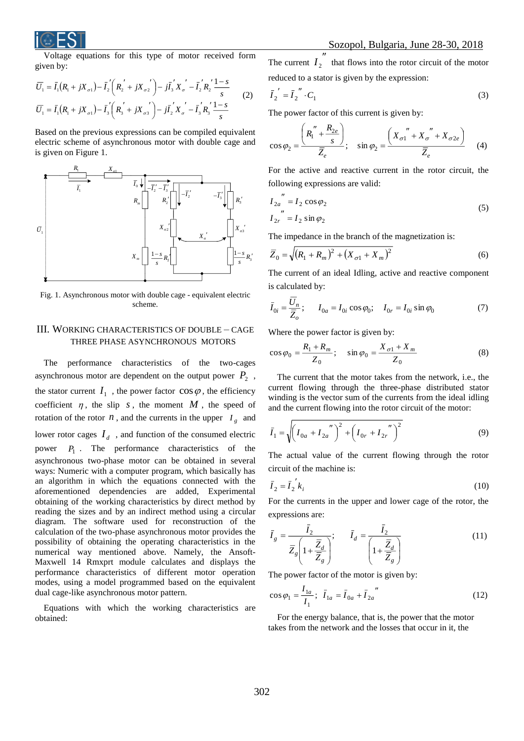

Voltage equations for this type of motor received form given by:

$$
\overline{U}_1 = \overline{I}_1 (R_1 + jX_{\sigma 1}) - \overline{I}_2' (R_2' + jX_{\sigma 2}') - j\overline{I}_3' X_{\sigma}' - \overline{I}_2' R_2' \frac{1 - s}{s}
$$
\n
$$
\overline{U}_1 = \overline{I}_1 (R_1 + jX_{\sigma 1}) - \overline{I}_3' (R_3' + jX_{\sigma 3}') - j\overline{I}_2' X_{\sigma}' - \overline{I}_3' R_3' \frac{1 - s}{s}
$$
\n(2)

Based on the previous expressions can be compiled equivalent electric scheme of asynchronous motor with double cage and is given on Figure 1.



Fig. 1. Asynchronous motor with double cage - equivalent electric scheme.

# III. WORKING CHARACTERISTICS OF DOUBLE – CAGE THREE PHASE ASYNCHRONOUS MOTORS

The performance characteristics of the two-cages asynchronous motor are dependent on the output power  $P_2$ , the stator current  $I_1$ , the power factor  $\cos \varphi$ , the efficiency coefficient  $\eta$ , the slip s, the moment M, the speed of rotation of the rotor  $n$ , and the currents in the upper  $I_g$  and lower rotor cages  $I_d$ , and function of the consumed electric power  $P_1$ . The performance characteristics of the asynchronous two-phase motor can be obtained in several ways: Numeric with a computer program, which basically has an algorithm in which the equations connected with the aforementioned dependencies are added, Experimental obtaining of the working characteristics by direct method by reading the sizes and by an indirect method using a circular diagram. The software used for reconstruction of the calculation of the two-phase asynchronous motor provides the possibility of obtaining the operating characteristics in the numerical way mentioned above. Namely, the Ansoft-Maxwell 14 Rmxprt module calculates and displays the performance characteristics of different motor operation modes, using a model programmed based on the equivalent dual cage-like asynchronous motor pattern.

Equations with which the working characteristics are obtained:

The current  $I_2^{\prime\prime}$  that flows into the rotor circuit of the motor reduced to a stator is given by the expression:

$$
\overline{I}_2' = \overline{I}_2'' \cdot C_1 \tag{3}
$$

The power factor of this current is given by:

$$
\cos \varphi_2 = \frac{\left(R_1^{\prime\prime} + \frac{R_{2e}}{s}\right)}{\overline{Z}_e}; \quad \sin \varphi_2 = \frac{\left(X_{\sigma 1}^{\prime\prime} + X_{\sigma}^{\prime\prime} + X_{\sigma 2e}\right)}{\overline{Z}_e} \quad (4)
$$

For the active and reactive current in the rotor circuit, the following expressions are valid:

$$
R'_3 \qquad I_{2a}^{\qquad \qquad \prime\prime} = I_2 \cos \varphi_2
$$
  
\n
$$
I_{2r}^{\qquad \prime\prime} = I_2 \sin \varphi_2
$$
\n(5)

The impedance in the branch of the magnetization is:

$$
\frac{1-s}{s}R_{3}' \qquad \overline{Z}_{0} = \sqrt{(R_{1} + R_{m})^{2} + (X_{\sigma 1} + X_{m})^{2}}
$$
(6)

The current of an ideal Idling, active and reactive component is calculated by:

$$
\bar{I}_{0i} = \frac{\bar{U}_n}{\bar{Z}_o}; \qquad I_{0a} = I_{0i} \cos \varphi_0; \quad I_{0r} = I_{0i} \sin \varphi_0 \tag{7}
$$

Where the power factor is given by:

$$
\cos \varphi_0 = \frac{R_1 + R_m}{Z_0}; \quad \sin \varphi_0 = \frac{X_{\sigma 1} + X_m}{Z_0}
$$
 (8)

The current that the motor takes from the network, i.e., the current flowing through the three-phase distributed stator winding is the vector sum of the currents from the ideal idling and the current flowing into the rotor circuit of the motor:

$$
\bar{I}_1 = \sqrt{\left(I_{0a} + I_{2a}^{'''}\right)^2 + \left(I_{0r} + I_{2r}^{'''}\right)^2}
$$
\n(9)

The actual value of the current flowing through the rotor circuit of the machine is:

$$
\bar{I}_2 = \bar{I}_2' k_i \tag{10}
$$

For the currents in the upper and lower cage of the rotor, the expressions are:

$$
\bar{I}_g = \frac{\bar{I}_2}{\bar{Z}_g \left(1 + \frac{\bar{Z}_d}{\bar{Z}_g}\right)}; \qquad \bar{I}_d = \frac{\bar{I}_2}{\left(1 + \frac{\bar{Z}_d}{\bar{Z}_g}\right)}
$$
(11)

The power factor of the motor is given by:

$$
\cos \varphi_1 = \frac{I_{1a}}{I_1}; \ \ \bar{I}_{1a} = \bar{I}_{0a} + \bar{I}_{2a}^{\ \ n}
$$
\n(12)

For the energy balance, that is, the power that the motor takes from the network and the losses that occur in it, the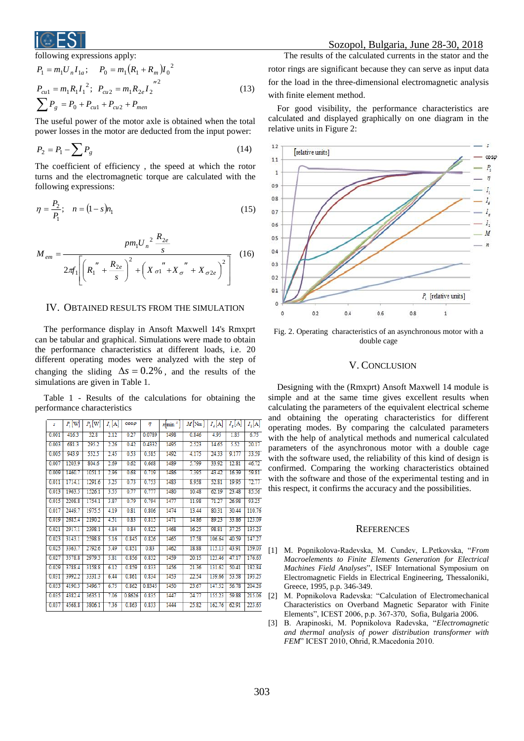

#### following expressions apply:

$$
P_1 = m_1 U_n I_{1a}; \t P_0 = m_1 (R_1 + R_m) I_0^2
$$
  
\n
$$
P_{cu1} = m_1 R_1 I_1^2; \t P_{cu2} = m_1 R_{2e} I_2^2
$$
  
\n
$$
\sum P_g = P_0 + P_{cu1} + P_{cu2} + P_{men}
$$
\n(13)

The useful power of the motor axle is obtained when the total power losses in the motor are deducted from the input power:

$$
P_2 = P_1 - \sum P_g \tag{14}
$$

The coefficient of efficiency , the speed at which the rotor turns and the electromagnetic torque are calculated with the following expressions:

$$
\eta = \frac{P_2}{P_1}; \quad n = (1 - s)n_1 \tag{15}
$$

$$
M_{em} = \frac{pm_1 U_n^2 \frac{R_{2e}}{s}}{2\pi f_1 \left[ \left( R_1'' + \frac{R_{2e}}{s} \right)^2 + \left( X \sigma_1'' + X \sigma_2'' + X \sigma_2 e \right)^2 \right]} \tag{16}
$$

# IV. OBTAINED RESULTS FROM THE SIMULATION

The performance display in Ansoft Maxwell 14's Rmxprt can be tabular and graphical. Simulations were made to obtain the performance characteristics at different loads, i.e. 20 different operating modes were analyzed with the step of changing the sliding  $\Delta s = 0.2\%$ , and the results of the simulations are given in Table 1.

Table 1 - Results of the calculations for obtaining the performance characteristics

| s     | $P_1$ W | $P_{2}$ W | I, [A] | $cos\varphi$ | η      | $n \min^{-1}$ | $M$ Nm | $I_s[A]$ | $I_{\epsilon}[A]$ | $I_{2}[A]$ |
|-------|---------|-----------|--------|--------------|--------|---------------|--------|----------|-------------------|------------|
| 0.001 | 416.3   | 32.8      | 2.12   | 0.27         | 0.0789 | 1498          | 0.846  | 4.95     | 1.85              | 6.75       |
| 0.003 | 681.3   | 295.2     | 2.26   | 0.42         | 0.4332 | 1495          | 2.523  | 14.65    | 5.52              | 20.17      |
| 0.005 | 943.9   | 552.5     | 2.45   | 0.53         | 0.585  | 1492          | 4.175  | 24.33    | 9.177             | 33.59      |
| 0.007 | 1203.9  | 804.6     | 2.69   | 0.62         | 0.668  | 1489          | 5.799  | 33.92    | 12.81             | 46.72      |
| 0.009 | 1460.7  | 1051.1    | 2.96   | 0.68         | 0.719  | 1486          | 7.395  | 43.42    | 16.39             | 59.81      |
| 0.011 | 1714.1  | 1291.6    | 3.25   | 0.73         | 0.753  | 1483          | 8.958  | 52.81    | 19.95             | 72.77      |
| 0.013 | 1963.5  | 1526.1    | 3.55   | 0.77         | 0.777  | 1480          | 10.48  | 62.19    | 23.48             | 85.56      |
| 0.015 | 2208.8  | 1754.1    | 3.87   | 0.79         | 0.794  | 1477          | 11.98  | 71.27    | 26.98             | 93.25      |
| 0.017 | 2449.7  | 1975.5    | 4.19   | 0.81         | 0.806  | 1474          | 13.44  | 80.31    | 30.44             | 110.76     |
| 0.019 | 2685.4  | 2190.2    | 4.51   | 0.83         | 0.815  | 1471          | 14.86  | 89.23    | 33.86             | 123.09     |
| 0.021 | 2917.1  | 2398.1    | 4.84   | 0.84         | 0.822  | 1468          | 16.25  | 98.81    | 37.25             | 135.23     |
| 0.023 | 3143.1  | 2598.8    | 5.16   | 0.845        | 0.826  | 1465          | 17.58  | 106.64   | 40.59             | 147.27     |
| 0.025 | 3363.7  | 2792.6    | 5.49   | 0.851        | 0.83   | 1462          | 18.88  | 115.13   | 43.91             | 159.03     |
| 0.027 | 3578.8  | 2979.3    | 5.81   | 0.856        | 0.832  | 1459          | 20.15  | 123.46   | 47.17             | 176.63     |
| 0.029 | 3788.4  | 3158.8    | 6.12   | 0.859        | 0.833  | 1456          | 21.36  | 131.62   | 50.41             | 182.84     |
| 0.031 | 3992.2  | 3331.3    | 6.44   | 0.861        | 0.834  | 1453          | 22.54  | 139.66   | 53.58             | 193.25     |
| 0.033 | 4190.3  | 3496.7    | 6.75   | 0.862        | 0.8345 | 1450          | 23.67  | 147.52   | 56.78             | 204.26     |
| 0.035 | 4382.4  | 3635.1    | 7.06   | 0.8626       | 0.835  | 1447          | 24.77  | 155.23   | 59.88             | 215.06     |
| 0.037 | 4568.8  | 3806.1    | 7.36   | 0.863        | 0.833  | 1444          | 25.82  | 162.76   | 62.91             | 223.65     |
|       |         |           |        |              |        |               |        |          |                   |            |

The results of the calculated currents in the stator and the rotor rings are significant because they can serve as input data for the load in the three-dimensional electromagnetic analysis with finite element method.

For good visibility, the performance characteristics are calculated and displayed graphically on one diagram in the relative units in Figure 2:



Fig. 2. Operating characteristics of an asynchronous motor with a double cage

## V. CONCLUSION

Designing with the (Rmxprt) Ansoft Maxwell 14 module is simple and at the same time gives excellent results when calculating the parameters of the equivalent electrical scheme and obtaining the operating characteristics for different operating modes. By comparing the calculated parameters with the help of analytical methods and numerical calculated parameters of the asynchronous motor with a double cage with the software used, the reliability of this kind of design is confirmed. Comparing the working characteristics obtained with the software and those of the experimental testing and in this respect, it confirms the accuracy and the possibilities.

### **REFERENCES**

- [1] M. Popnikolova-Radevska, M. Cundev, L.Petkovska, "*From Macroelements to Finite Elements Generation for Electrical Machines Field Analyses*", ISEF International Symposium on Electromagnetic Fields in Electrical Engineering, Thessaloniki, Greece, 1995, p.p. 346-349.
- [2] M. Popnikolova Radevska: "Calculation of Electromechanical Characteristics on Overband Magnetic Separator with Finite Elements", ICEST 2006, p.p. 367-370, Sofia, Bulgaria 2006.
- [3] B. Arapinoski, M. Popnikolova Radevska, "*Electromagnetic and thermal analysis of power distribution transformer with FEM*" ICEST 2010, Ohrid, R.Macedonia 2010.